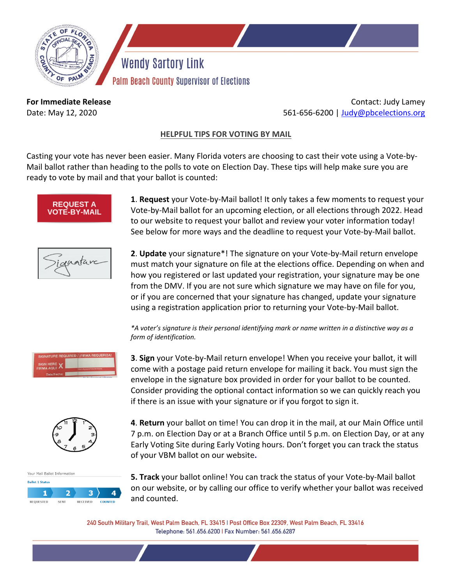

**Wendy Sartory Link** Palm Beach County Supervisor of Elections

**For Immediate Release** Date: May 12, 2020

Contact: Judy Lamey 561-656-6200 | [Judy@pbcelections.org](mailto:Judy@pbcelections.org)

## **HELPFUL TIPS FOR VOTING BY MAIL**

Casting your vote has never been easier. Many Florida voters are choosing to cast their vote using a Vote-by-Mail ballot rather than heading to the polls to vote on Election Day. These tips will help make sure you are ready to vote by mail and that your ballot is counted:



**1**. **Request** your Vote-by-Mail ballot! It only takes a few moments to request your Vote-by-Mail ballot for an upcoming election, or all elections through 2022. Head to our website to request your ballot and review your voter information today! See below for more ways and the deadline to request your Vote-by-Mail ballot.



**2**. **Update** your signature\*! The signature on your Vote-by-Mail return envelope must match your signature on file at the elections office. Depending on when and how you registered or last updated your registration, your signature may be one from the DMV. If you are not sure which signature we may have on file for you, or if you are concerned that your signature has changed, update your signature using a registration application prior to returning your Vote-by-Mail ballot.

*\*A voter's signature is their personal identifying mark or name written in a distinctive way as a form of identification.* 



**3**. **Sign** your Vote-by-Mail return envelope! When you receive your ballot, it will come with a postage paid return envelope for mailing it back. You must sign the envelope in the signature box provided in order for your ballot to be counted. Consider providing the optional contact information so we can quickly reach you if there is an issue with your signature or if you forgot to sign it.



**4**. **Return** your ballot on time! You can drop it in the mail, at our Main Office until 7 p.m. on Election Day or at a Branch Office until 5 p.m. on Election Day, or at any Early Voting Site during Early Voting hours. Don't forget you can track the status of your VBM ballot on our website**.**



**5. Track** your ballot online! You can track the status of your Vote-by-Mail ballot on our website, or by calling our office to verify whether your ballot was received and counted.

240 South Military Trail, West Palm Beach, FL 33415 | Post Office Box 22309, West Palm Beach, FL 33416 Telephone: 561.656.6200 | Fax Number: 561.656.6287